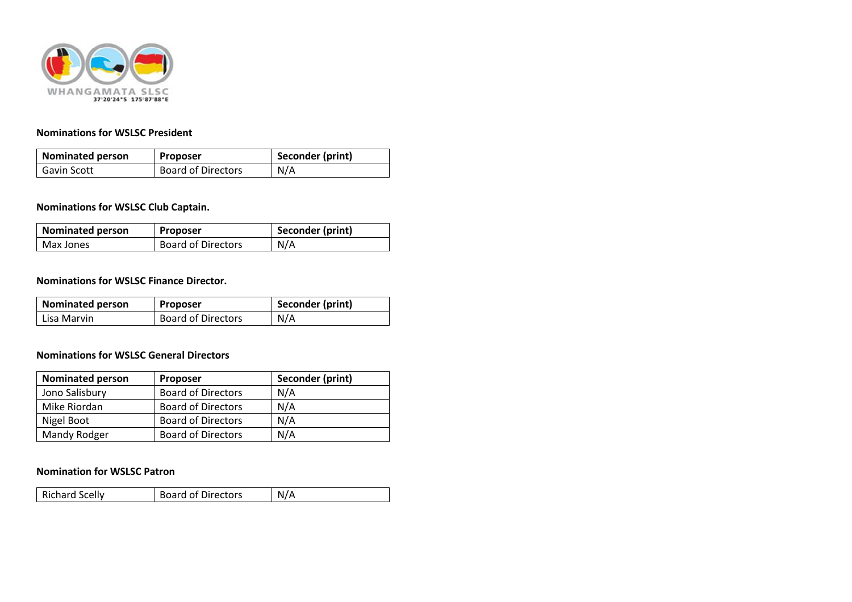

### **Nominations for WSLSC President**

| <b>Nominated person</b> | Proposer                  | Seconder (print) |
|-------------------------|---------------------------|------------------|
| Gavin Scott             | <b>Board of Directors</b> | N/A              |

## **Nominations for WSLSC Club Captain.**

| <b>Nominated person</b> | <b>Proposer</b>           | Seconder (print) |
|-------------------------|---------------------------|------------------|
| Max Jones               | <b>Board of Directors</b> | N/A              |

#### **Nominations for WSLSC Finance Director.**

| <b>Nominated person</b> | Proposer                  | Seconder (print) |
|-------------------------|---------------------------|------------------|
| Lisa Marvin             | <b>Board of Directors</b> | N/A              |

### **Nominations for WSLSC General Directors**

| <b>Nominated person</b> | <b>Proposer</b>           | Seconder (print) |
|-------------------------|---------------------------|------------------|
| Jono Salisbury          | <b>Board of Directors</b> | N/A              |
| Mike Riordan            | <b>Board of Directors</b> | N/A              |
| Nigel Boot              | <b>Board of Directors</b> | N/A              |
| Mandy Rodger            | <b>Board of Directors</b> | N/A              |

#### **Nomination for WSLSC Patron**

| <b>Board of Directors</b><br><b>Richard Scelly</b> | N/A |
|----------------------------------------------------|-----|
|----------------------------------------------------|-----|